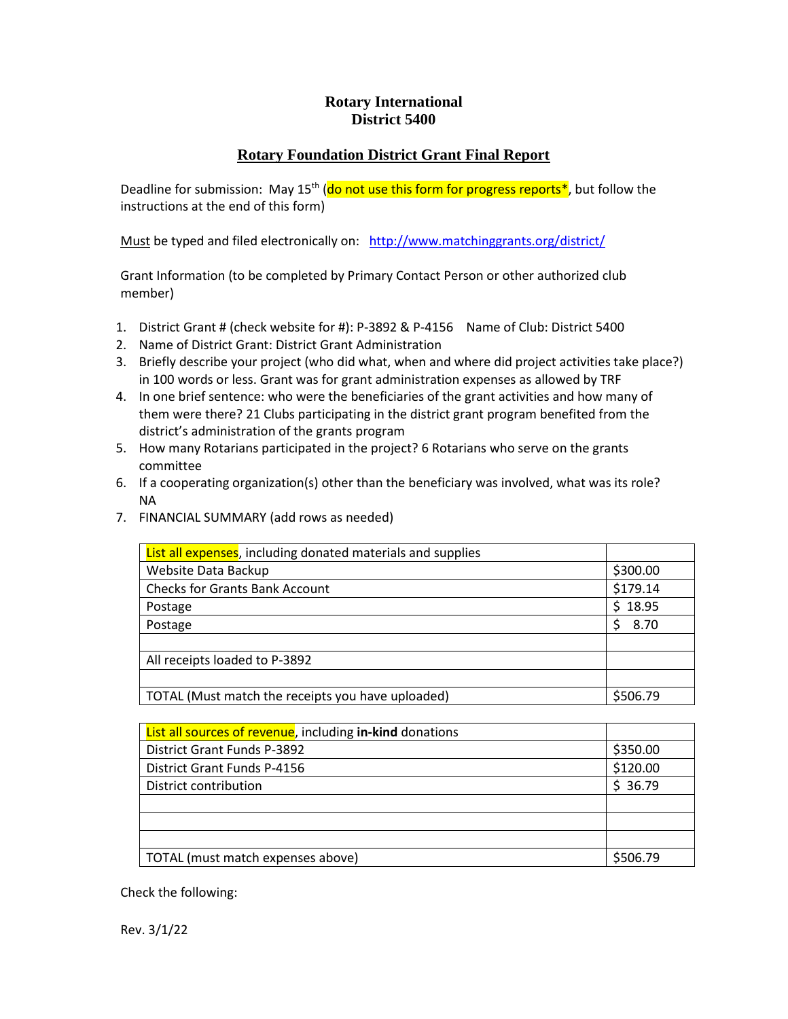## **Rotary International District 5400**

## **Rotary Foundation District Grant Final Report**

Deadline for submission: May 15<sup>th</sup> (do not use this form for progress reports<sup>\*</sup>, but follow the instructions at the end of this form)

Must be typed and filed electronically on: <http://www.matchinggrants.org/district/>

Grant Information (to be completed by Primary Contact Person or other authorized club member)

- 1. District Grant # (check website for #): P-3892 & P-4156 Name of Club: District 5400
- 2. Name of District Grant: District Grant Administration
- 3. Briefly describe your project (who did what, when and where did project activities take place?) in 100 words or less. Grant was for grant administration expenses as allowed by TRF
- 4. In one brief sentence: who were the beneficiaries of the grant activities and how many of them were there? 21 Clubs participating in the district grant program benefited from the district's administration of the grants program
- 5. How many Rotarians participated in the project? 6 Rotarians who serve on the grants committee
- 6. If a cooperating organization(s) other than the beneficiary was involved, what was its role? NA
- 7. FINANCIAL SUMMARY (add rows as needed)

| <b>List all expenses</b> , including donated materials and supplies |          |
|---------------------------------------------------------------------|----------|
| Website Data Backup                                                 | \$300.00 |
| <b>Checks for Grants Bank Account</b>                               | \$179.14 |
| Postage                                                             | \$18.95  |
| Postage                                                             | 8.70     |
|                                                                     |          |
| All receipts loaded to P-3892                                       |          |
|                                                                     |          |
| TOTAL (Must match the receipts you have uploaded)                   | \$506.79 |

| List all sources of revenue, including in-kind donations |          |
|----------------------------------------------------------|----------|
| <b>District Grant Funds P-3892</b>                       | \$350.00 |
| District Grant Funds P-4156                              | \$120.00 |
| District contribution                                    | \$36.79  |
|                                                          |          |
|                                                          |          |
|                                                          |          |
| TOTAL (must match expenses above)                        | \$506.79 |

Check the following:

Rev. 3/1/22